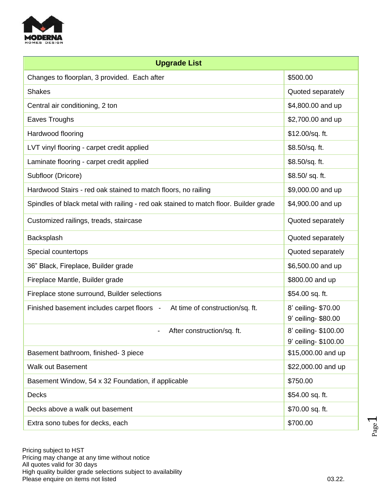

| <b>Upgrade List</b>                                                                  |                                              |  |
|--------------------------------------------------------------------------------------|----------------------------------------------|--|
| Changes to floorplan, 3 provided. Each after                                         | \$500.00                                     |  |
| <b>Shakes</b>                                                                        | Quoted separately                            |  |
| Central air conditioning, 2 ton                                                      | \$4,800.00 and up                            |  |
| Eaves Troughs                                                                        | \$2,700.00 and up                            |  |
| Hardwood flooring                                                                    | \$12.00/sq. ft.                              |  |
| LVT vinyl flooring - carpet credit applied                                           | \$8.50/sq. ft.                               |  |
| Laminate flooring - carpet credit applied                                            | \$8.50/sq. ft.                               |  |
| Subfloor (Dricore)                                                                   | \$8.50/sq.ft.                                |  |
| Hardwood Stairs - red oak stained to match floors, no railing                        | \$9,000.00 and up                            |  |
| Spindles of black metal with railing - red oak stained to match floor. Builder grade | \$4,900.00 and up                            |  |
| Customized railings, treads, staircase                                               | Quoted separately                            |  |
| Backsplash                                                                           | Quoted separately                            |  |
| Special countertops                                                                  | Quoted separately                            |  |
| 36" Black, Fireplace, Builder grade                                                  | \$6,500.00 and up                            |  |
| Fireplace Mantle, Builder grade                                                      | \$800.00 and up                              |  |
| Fireplace stone surround, Builder selections                                         | \$54.00 sq. ft.                              |  |
| At time of construction/sq. ft.<br>Finished basement includes carpet floors -        | 8' ceiling- \$70.00<br>9' ceiling- \$80.00   |  |
| After construction/sq. ft.                                                           | 8' ceiling- \$100.00<br>9' ceiling- \$100.00 |  |
| Basement bathroom, finished- 3 piece                                                 | \$15,000.00 and up                           |  |
| <b>Walk out Basement</b>                                                             | \$22,000.00 and up                           |  |
| Basement Window, 54 x 32 Foundation, if applicable                                   | \$750.00                                     |  |
| <b>Decks</b>                                                                         | \$54.00 sq. ft.                              |  |
| Decks above a walk out basement                                                      | \$70.00 sq. ft.                              |  |
| Extra sono tubes for decks, each                                                     | \$700.00                                     |  |

 Pricing subject to HST Pricing may change at any time without notice All quotes valid for 30 days High quality builder grade selections subject to availability Please enquire on items not listed **by a strategies of the control of the control of the control of the control of the control of the control of the control of the control of the control of the control of the control of th** 

Page  $\overline{\phantom{0}}$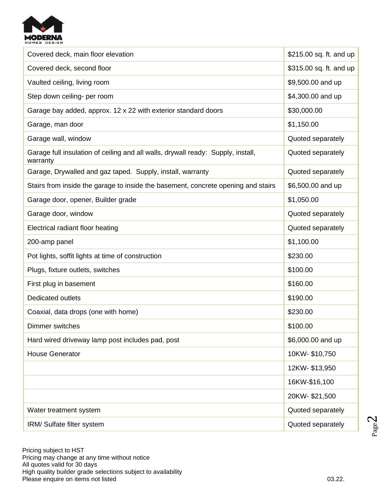

| Covered deck, main floor elevation                                                           | \$215.00 sq. ft. and up |
|----------------------------------------------------------------------------------------------|-------------------------|
| Covered deck, second floor                                                                   | \$315.00 sq. ft. and up |
| Vaulted ceiling, living room                                                                 | \$9,500.00 and up       |
| Step down ceiling- per room                                                                  | \$4,300.00 and up       |
| Garage bay added, approx. 12 x 22 with exterior standard doors                               | \$30,000.00             |
| Garage, man door                                                                             | \$1,150.00              |
| Garage wall, window                                                                          | Quoted separately       |
| Garage full insulation of ceiling and all walls, drywall ready: Supply, install,<br>warranty | Quoted separately       |
| Garage, Drywalled and gaz taped. Supply, install, warranty                                   | Quoted separately       |
| Stairs from inside the garage to inside the basement, concrete opening and stairs            | \$6,500.00 and up       |
| Garage door, opener, Builder grade                                                           | \$1,050.00              |
| Garage door, window                                                                          | Quoted separately       |
| Electrical radiant floor heating                                                             | Quoted separately       |
| 200-amp panel                                                                                | \$1,100.00              |
| Pot lights, soffit lights at time of construction                                            | \$230.00                |
| Plugs, fixture outlets, switches                                                             | \$100.00                |
| First plug in basement                                                                       | \$160.00                |
| <b>Dedicated outlets</b>                                                                     | \$190.00                |
| Coaxial, data drops (one with home)                                                          | \$230.00                |
| Dimmer switches                                                                              | \$100.00                |
| Hard wired driveway lamp post includes pad, post                                             | \$6,000.00 and up       |
| <b>House Generator</b>                                                                       | 10KW-\$10,750           |
|                                                                                              | 12KW-\$13,950           |
|                                                                                              | 16KW-\$16,100           |
|                                                                                              | 20KW-\$21,500           |
| Water treatment system                                                                       | Quoted separately       |
| IRM/ Sulfate filter system                                                                   | Quoted separately       |

 Pricing subject to HST Pricing may change at any time without notice All quotes valid for 30 days High quality builder grade selections subject to availability Please enquire on items not listed **by a strategies of the control of the control of the control of the control of the control of the control of the control of the control of the control of the control of the control of th** 

Page  $\mathrel{\sim}$